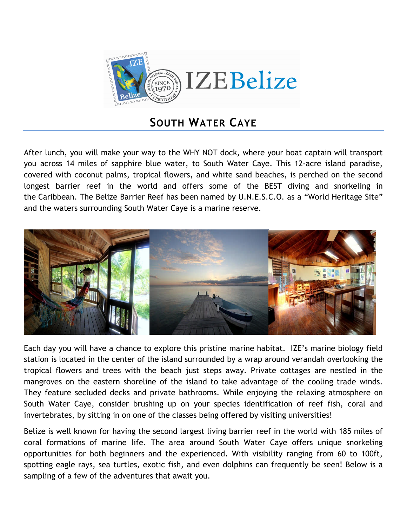

## **SOUTH WATER CAYE**

After lunch, you will make your way to the WHY NOT dock, where your boat captain will transport you across 14 miles of sapphire blue water, to South Water Caye. This 12-acre island paradise, covered with coconut palms, tropical flowers, and white sand beaches, is perched on the second longest barrier reef in the world and offers some of the BEST diving and snorkeling in the Caribbean. The Belize Barrier Reef has been named by U.N.E.S.C.O. as a "World Heritage Site" and the waters surrounding South Water Caye is a marine reserve.



Each day you will have a chance to explore this pristine marine habitat. IZE's marine biology field station is located in the center of the island surrounded by a wrap around verandah overlooking the tropical flowers and trees with the beach just steps away. Private cottages are nestled in the mangroves on the eastern shoreline of the island to take advantage of the cooling trade winds. They feature secluded decks and private bathrooms. While enjoying the relaxing atmosphere on South Water Caye, consider brushing up on your species identification of reef fish, coral and invertebrates, by sitting in on one of the classes being offered by visiting universities!

Belize is well known for having the second largest living barrier reef in the world with 185 miles of coral formations of marine life. The area around South Water Caye offers unique snorkeling opportunities for both beginners and the experienced. With visibility ranging from 60 to 100ft, spotting eagle rays, sea turtles, exotic fish, and even dolphins can frequently be seen! Below is a sampling of a few of the adventures that await you.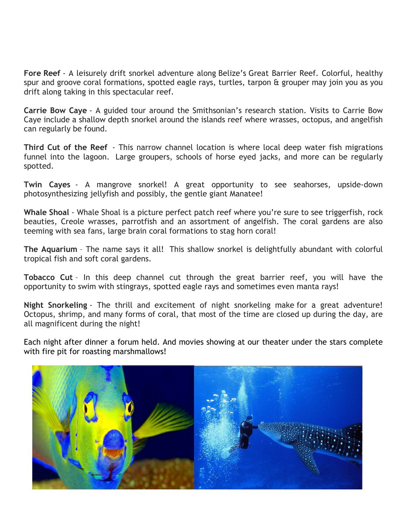**Fore Reef** - A leisurely drift snorkel adventure along Belize's Great Barrier Reef. Colorful, healthy spur and groove coral formations, spotted eagle rays, turtles, tarpon & grouper may join you as you drift along taking in this spectacular reef.

**Carrie Bow Caye** - A guided tour around the Smithsonian's research station. Visits to Carrie Bow Caye include a shallow depth snorkel around the islands reef where wrasses, octopus, and angelfish can regularly be found.

**Third Cut of the Reef** - This narrow channel location is where local deep water fish migrations funnel into the lagoon. Large groupers, schools of horse eyed jacks, and more can be regularly spotted.

**Twin Cayes** - A mangrove snorkel! A great opportunity to see seahorses, upside-down photosynthesizing jellyfish and possibly, the gentle giant Manatee!

**Whale Shoal** - Whale Shoal is a picture perfect patch reef where you're sure to see triggerfish, rock beauties, Creole wrasses, parrotfish and an assortment of angelfish. The coral gardens are also teeming with sea fans, large brain coral formations to stag horn coral!

**The Aquarium** – The name says it all! This shallow snorkel is delightfully abundant with colorful tropical fish and soft coral gardens.

**Tobacco Cut** – In this deep channel cut through the great barrier reef, you will have the opportunity to swim with stingrays, spotted eagle rays and sometimes even manta rays!

**Night Snorkeling** - The thrill and excitement of night snorkeling make for a great adventure! Octopus, shrimp, and many forms of coral, that most of the time are closed up during the day, are all magnificent during the night!

Each night after dinner a forum held. And movies showing at our theater under the stars complete with fire pit for roasting marshmallows!